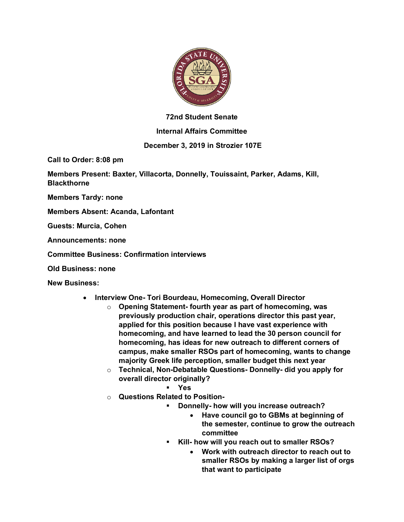

## **72nd Student Senate**

## **Internal Affairs Committee**

## **December 3, 2019 in Strozier 107E**

**Call to Order: 8:08 pm**

**Members Present: Baxter, Villacorta, Donnelly, Touissaint, Parker, Adams, Kill, Blackthorne**

**Members Tardy: none**

**Members Absent: Acanda, Lafontant**

**Guests: Murcia, Cohen**

**Announcements: none**

**Committee Business: Confirmation interviews**

**Old Business: none**

**New Business:**

- **Interview One- Tori Bourdeau, Homecoming, Overall Director**
	- o **Opening Statement- fourth year as part of homecoming, was previously production chair, operations director this past year, applied for this position because I have vast experience with homecoming, and have learned to lead the 30 person council for homecoming, has ideas for new outreach to different corners of campus, make smaller RSOs part of homecoming, wants to change majority Greek life perception, smaller budget this next year**
	- o **Technical, Non-Debatable Questions- Donnelly- did you apply for overall director originally?**
		- § **Yes**
	- o **Questions Related to Position-**
		- § **Donnelly- how will you increase outreach?**
			- **Have council go to GBMs at beginning of the semester, continue to grow the outreach committee**
		- § **Kill- how will you reach out to smaller RSOs?**
			- **Work with outreach director to reach out to smaller RSOs by making a larger list of orgs that want to participate**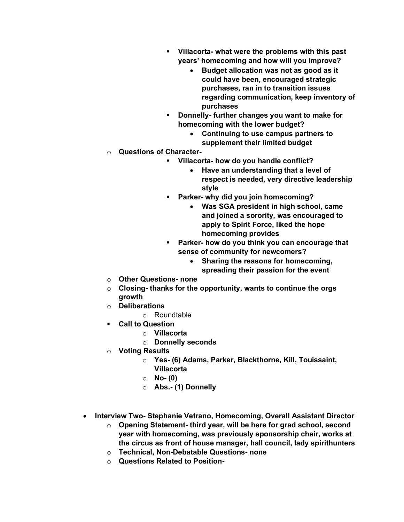- § **Villacorta- what were the problems with this past years' homecoming and how will you improve?**
	- **Budget allocation was not as good as it could have been, encouraged strategic purchases, ran in to transition issues regarding communication, keep inventory of purchases**
- § **Donnelly- further changes you want to make for homecoming with the lower budget?**
	- **Continuing to use campus partners to supplement their limited budget**
- o **Questions of Character-**
	- § **Villacorta- how do you handle conflict?**
		- **Have an understanding that a level of respect is needed, very directive leadership style**
	- § **Parker- why did you join homecoming?**
		- **Was SGA president in high school, came and joined a sorority, was encouraged to apply to Spirit Force, liked the hope homecoming provides**
	- § **Parker- how do you think you can encourage that sense of community for newcomers?**
		- **Sharing the reasons for homecoming, spreading their passion for the event**
- o **Other Questions- none**
- o **Closing- thanks for the opportunity, wants to continue the orgs growth**
- o **Deliberations**
	- o Roundtable
- § **Call to Question**
	- o **Villacorta**
	- o **Donnelly seconds**
- o **Voting Results**
	- o **Yes- (6) Adams, Parker, Blackthorne, Kill, Touissaint, Villacorta**
	- o **No- (0)**
	- o **Abs.- (1) Donnelly**
- **Interview Two- Stephanie Vetrano, Homecoming, Overall Assistant Director**
	- o **Opening Statement- third year, will be here for grad school, second year with homecoming, was previously sponsorship chair, works at the circus as front of house manager, hall council, lady spirithunters**
	- o **Technical, Non-Debatable Questions- none**
	- o **Questions Related to Position-**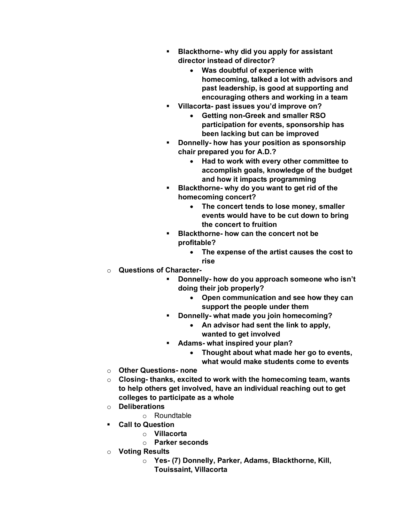- § **Blackthorne- why did you apply for assistant director instead of director?**
	- **Was doubtful of experience with homecoming, talked a lot with advisors and past leadership, is good at supporting and encouraging others and working in a team**
- § **Villacorta- past issues you'd improve on?**
	- **Getting non-Greek and smaller RSO participation for events, sponsorship has been lacking but can be improved**
- § **Donnelly- how has your position as sponsorship chair prepared you for A.D.?**
	- **Had to work with every other committee to accomplish goals, knowledge of the budget and how it impacts programming**
- § **Blackthorne- why do you want to get rid of the homecoming concert?**
	- **The concert tends to lose money, smaller events would have to be cut down to bring the concert to fruition**
- § **Blackthorne- how can the concert not be profitable?**
	- **The expense of the artist causes the cost to rise**
- o **Questions of Character-**
	- § **Donnelly- how do you approach someone who isn't doing their job properly?**
		- **Open communication and see how they can support the people under them**
	- § **Donnelly- what made you join homecoming?**
		- **An advisor had sent the link to apply, wanted to get involved**
	- § **Adams- what inspired your plan?**
		- **Thought about what made her go to events, what would make students come to events**
- o **Other Questions- none**
- o **Closing- thanks, excited to work with the homecoming team, wants to help others get involved, have an individual reaching out to get colleges to participate as a whole**
- o **Deliberations**
	- o Roundtable
- § **Call to Question**
	- o **Villacorta**
	- o **Parker seconds**
- o **Voting Results**
	- o **Yes- (7) Donnelly, Parker, Adams, Blackthorne, Kill, Touissaint, Villacorta**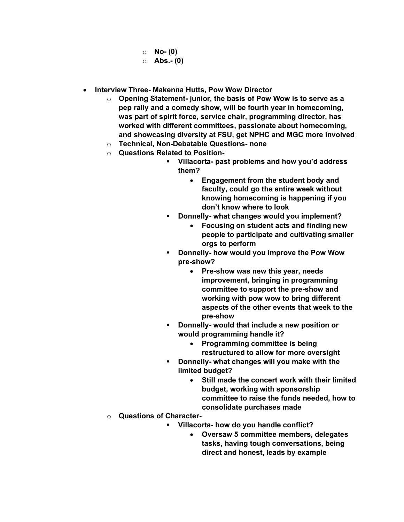- o **No- (0)**
- o **Abs.- (0)**
- **Interview Three- Makenna Hutts, Pow Wow Director**
	- o **Opening Statement- junior, the basis of Pow Wow is to serve as a pep rally and a comedy show, will be fourth year in homecoming, was part of spirit force, service chair, programming director, has worked with different committees, passionate about homecoming, and showcasing diversity at FSU, get NPHC and MGC more involved**
	- o **Technical, Non-Debatable Questions- none**
	- o **Questions Related to Position-**
		- § **Villacorta- past problems and how you'd address them?**
			- **Engagement from the student body and faculty, could go the entire week without knowing homecoming is happening if you don't know where to look**
		- § **Donnelly- what changes would you implement?**
			- **Focusing on student acts and finding new people to participate and cultivating smaller orgs to perform**
		- § **Donnelly- how would you improve the Pow Wow pre-show?**
			- **Pre-show was new this year, needs improvement, bringing in programming committee to support the pre-show and working with pow wow to bring different aspects of the other events that week to the pre-show**
		- § **Donnelly- would that include a new position or would programming handle it?**
			- **Programming committee is being restructured to allow for more oversight**
		- § **Donnelly- what changes will you make with the limited budget?**
			- **Still made the concert work with their limited budget, working with sponsorship committee to raise the funds needed, how to consolidate purchases made**
	- o **Questions of Character-**
		- § **Villacorta- how do you handle conflict?**
			- **Oversaw 5 committee members, delegates tasks, having tough conversations, being direct and honest, leads by example**